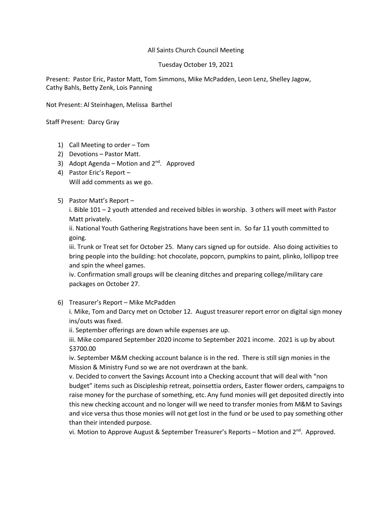## All Saints Church Council Meeting

## Tuesday October 19, 2021

Present: Pastor Eric, Pastor Matt, Tom Simmons, Mike McPadden, Leon Lenz, Shelley Jagow, Cathy Bahls, Betty Zenk, Lois Panning

Not Present: Al Steinhagen, Melissa Barthel

Staff Present: Darcy Gray

- 1) Call Meeting to order Tom
- 2) Devotions Pastor Matt.
- 3) Adopt Agenda Motion and  $2<sup>nd</sup>$ . Approved
- 4) Pastor Eric's Report Will add comments as we go.
- 5) Pastor Matt's Report –

i. Bible 101 – 2 youth attended and received bibles in worship. 3 others will meet with Pastor Matt privately.

ii. National Youth Gathering Registrations have been sent in. So far 11 youth committed to going.

iii. Trunk or Treat set for October 25. Many cars signed up for outside. Also doing activities to bring people into the building: hot chocolate, popcorn, pumpkins to paint, plinko, lollipop tree and spin the wheel games.

iv. Confirmation small groups will be cleaning ditches and preparing college/military care packages on October 27.

6) Treasurer's Report – Mike McPadden

i. Mike, Tom and Darcy met on October 12. August treasurer report error on digital sign money ins/outs was fixed.

ii. September offerings are down while expenses are up.

iii. Mike compared September 2020 income to September 2021 income. 2021 is up by about \$3700.00

iv. September M&M checking account balance is in the red. There is still sign monies in the Mission & Ministry Fund so we are not overdrawn at the bank.

v. Decided to convert the Savings Account into a Checking account that will deal with "non budget" items such as Discipleship retreat, poinsettia orders, Easter flower orders, campaigns to raise money for the purchase of something, etc. Any fund monies will get deposited directly into this new checking account and no longer will we need to transfer monies from M&M to Savings and vice versa thus those monies will not get lost in the fund or be used to pay something other than their intended purpose.

vi. Motion to Approve August & September Treasurer's Reports – Motion and  $2^{nd}$ . Approved.